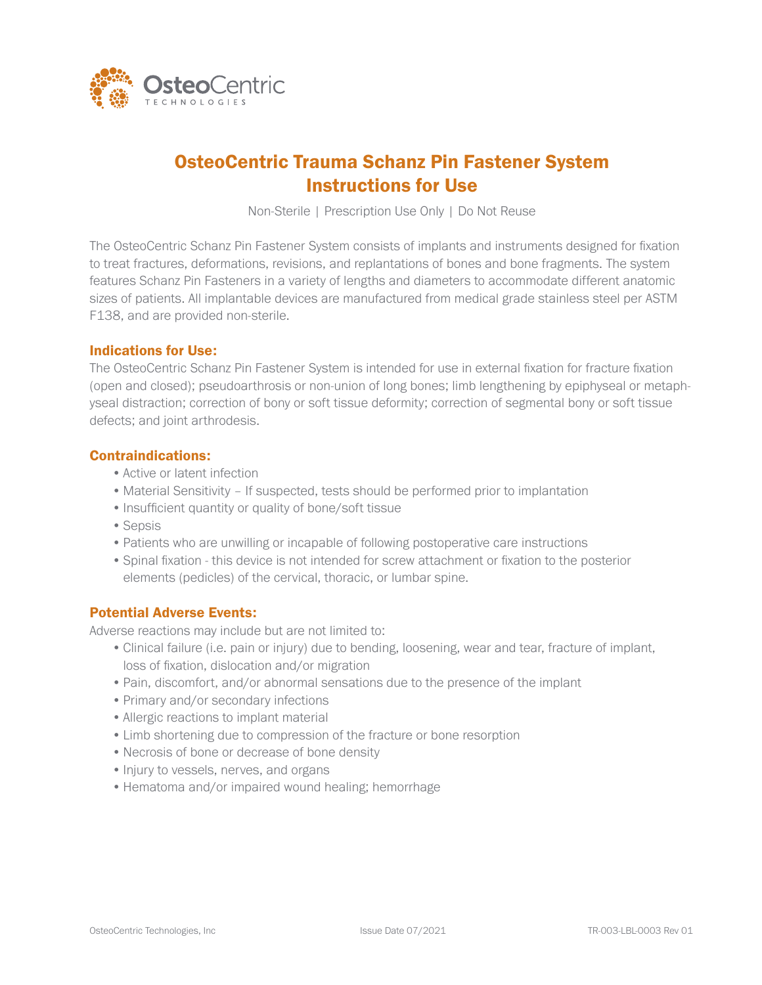

# OsteoCentric Trauma Schanz Pin Fastener System Instructions for Use

Non-Sterile | Prescription Use Only | Do Not Reuse

The OsteoCentric Schanz Pin Fastener System consists of implants and instruments designed for fixation to treat fractures, deformations, revisions, and replantations of bones and bone fragments. The system features Schanz Pin Fasteners in a variety of lengths and diameters to accommodate different anatomic sizes of patients. All implantable devices are manufactured from medical grade stainless steel per ASTM F138, and are provided non-sterile.

## Indications for Use:

The OsteoCentric Schanz Pin Fastener System is intended for use in external fixation for fracture fixation (open and closed); pseudoarthrosis or non-union of long bones; limb lengthening by epiphyseal or metaphyseal distraction; correction of bony or soft tissue deformity; correction of segmental bony or soft tissue defects; and joint arthrodesis.

## Contraindications:

- •Active or latent infection
- Material Sensitivity If suspected, tests should be performed prior to implantation
- Insufficient quantity or quality of bone/soft tissue
- Sepsis
- •Patients who are unwilling or incapable of following postoperative care instructions
- •Spinal fixation this device is not intended for screw attachment or fixation to the posterior elements (pedicles) of the cervical, thoracic, or lumbar spine.

## Potential Adverse Events:

Adverse reactions may include but are not limited to:

- •Clinical failure (i.e. pain or injury) due to bending, loosening, wear and tear, fracture of implant, loss of fixation, dislocation and/or migration
- •Pain, discomfort, and/or abnormal sensations due to the presence of the implant
- •Primary and/or secondary infections
- •Allergic reactions to implant material
- •Limb shortening due to compression of the fracture or bone resorption
- •Necrosis of bone or decrease of bone density
- Injury to vessels, nerves, and organs
- Hematoma and/or impaired wound healing; hemorrhage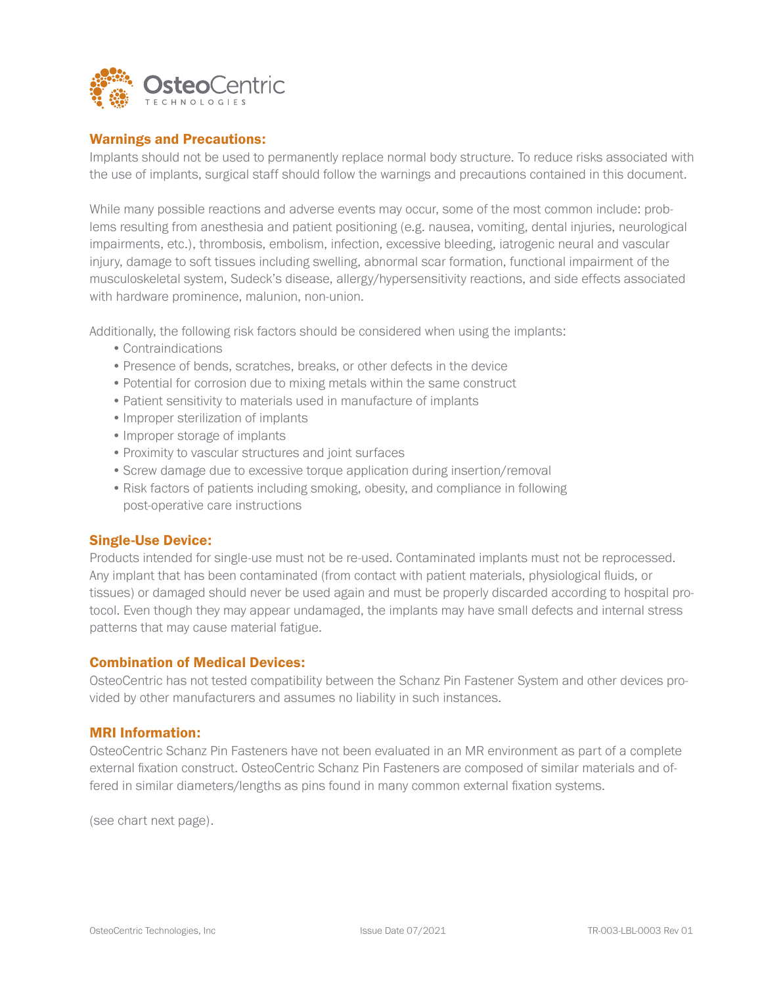

#### Warnings and Precautions:

Implants should not be used to permanently replace normal body structure. To reduce risks associated with the use of implants, surgical staff should follow the warnings and precautions contained in this document.

While many possible reactions and adverse events may occur, some of the most common include: problems resulting from anesthesia and patient positioning (e.g. nausea, vomiting, dental injuries, neurological impairments, etc.), thrombosis, embolism, infection, excessive bleeding, iatrogenic neural and vascular injury, damage to soft tissues including swelling, abnormal scar formation, functional impairment of the musculoskeletal system, Sudeck's disease, allergy/hypersensitivity reactions, and side effects associated with hardware prominence, malunion, non-union.

Additionally, the following risk factors should be considered when using the implants:

- •Contraindications
- •Presence of bends, scratches, breaks, or other defects in the device
- •Potential for corrosion due to mixing metals within the same construct
- •Patient sensitivity to materials used in manufacture of implants
- •Improper sterilization of implants
- Improper storage of implants
- Proximity to vascular structures and joint surfaces
- •Screw damage due to excessive torque application during insertion/removal
- Risk factors of patients including smoking, obesity, and compliance in following post-operative care instructions

#### Single-Use Device:

Products intended for single-use must not be re-used. Contaminated implants must not be reprocessed. Any implant that has been contaminated (from contact with patient materials, physiological fluids, or tissues) or damaged should never be used again and must be properly discarded according to hospital protocol. Even though they may appear undamaged, the implants may have small defects and internal stress patterns that may cause material fatigue.

#### Combination of Medical Devices:

OsteoCentric has not tested compatibility between the Schanz Pin Fastener System and other devices provided by other manufacturers and assumes no liability in such instances.

#### MRI Information:

OsteoCentric Schanz Pin Fasteners have not been evaluated in an MR environment as part of a complete external fixation construct. OsteoCentric Schanz Pin Fasteners are composed of similar materials and offered in similar diameters/lengths as pins found in many common external fixation systems.

(see chart next page).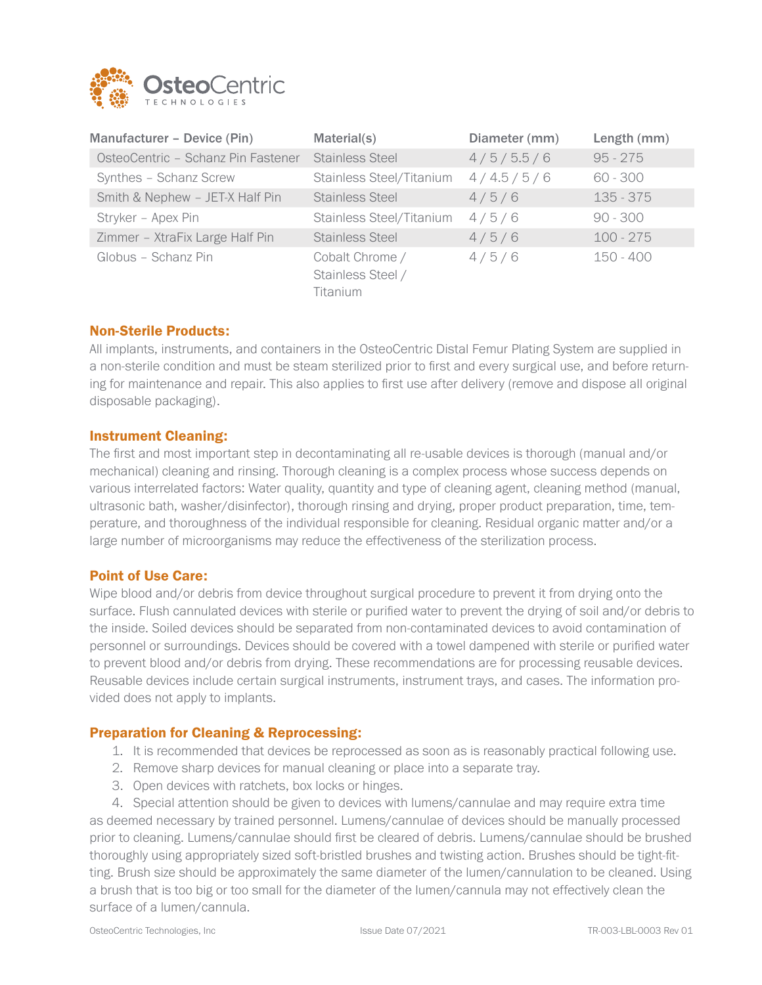

| Manufacturer - Device (Pin)        | Material(s)                                             | Diameter (mm) | Length (mm) |
|------------------------------------|---------------------------------------------------------|---------------|-------------|
| OsteoCentric - Schanz Pin Fastener | <b>Stainless Steel</b>                                  | 4/5/5.5/6     | $95 - 275$  |
| Synthes - Schanz Screw             | Stainless Steel/Titanium                                | 4/4.5/5/6     | $60 - 300$  |
| Smith & Nephew - JET-X Half Pin    | <b>Stainless Steel</b>                                  | 4/5/6         | $135 - 375$ |
| Stryker - Apex Pin                 | Stainless Steel/Titanium                                | 4/5/6         | $90 - 300$  |
| Zimmer - XtraFix Large Half Pin    | <b>Stainless Steel</b>                                  | 4/5/6         | $100 - 275$ |
| Globus - Schanz Pin                | Cobalt Chrome /<br>Stainless Steel /<br><b>Titanium</b> | 4/5/6         | 150 - 400   |

## Non-Sterile Products:

All implants, instruments, and containers in the OsteoCentric Distal Femur Plating System are supplied in a non-sterile condition and must be steam sterilized prior to first and every surgical use, and before returning for maintenance and repair. This also applies to first use after delivery (remove and dispose all original disposable packaging).

#### Instrument Cleaning:

The first and most important step in decontaminating all re-usable devices is thorough (manual and/or mechanical) cleaning and rinsing. Thorough cleaning is a complex process whose success depends on various interrelated factors: Water quality, quantity and type of cleaning agent, cleaning method (manual, ultrasonic bath, washer/disinfector), thorough rinsing and drying, proper product preparation, time, temperature, and thoroughness of the individual responsible for cleaning. Residual organic matter and/or a large number of microorganisms may reduce the effectiveness of the sterilization process.

#### Point of Use Care:

Wipe blood and/or debris from device throughout surgical procedure to prevent it from drying onto the surface. Flush cannulated devices with sterile or purified water to prevent the drying of soil and/or debris to the inside. Soiled devices should be separated from non-contaminated devices to avoid contamination of personnel or surroundings. Devices should be covered with a towel dampened with sterile or purified water to prevent blood and/or debris from drying. These recommendations are for processing reusable devices. Reusable devices include certain surgical instruments, instrument trays, and cases. The information provided does not apply to implants.

#### Preparation for Cleaning & Reprocessing:

- 1. It is recommended that devices be reprocessed as soon as is reasonably practical following use.
- 2. Remove sharp devices for manual cleaning or place into a separate tray.
- 3. Open devices with ratchets, box locks or hinges.

4. Special attention should be given to devices with lumens/cannulae and may require extra time as deemed necessary by trained personnel. Lumens/cannulae of devices should be manually processed prior to cleaning. Lumens/cannulae should first be cleared of debris. Lumens/cannulae should be brushed thoroughly using appropriately sized soft-bristled brushes and twisting action. Brushes should be tight-fitting. Brush size should be approximately the same diameter of the lumen/cannulation to be cleaned. Using a brush that is too big or too small for the diameter of the lumen/cannula may not effectively clean the surface of a lumen/cannula.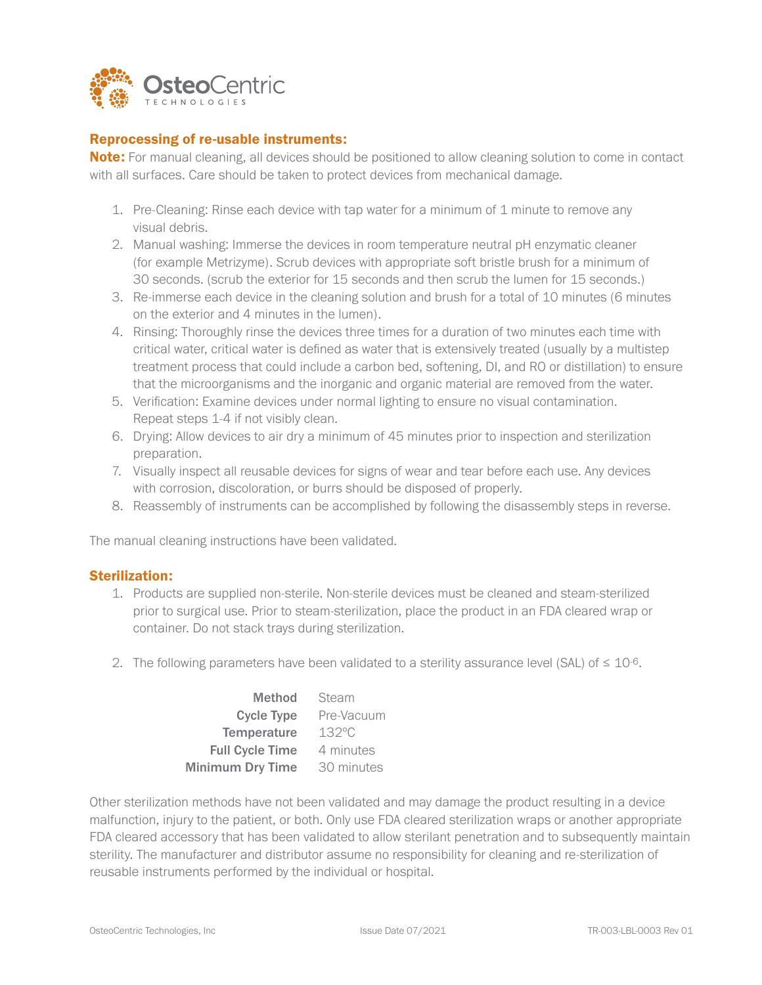

## Reprocessing of re-usable instruments:

Note: For manual cleaning, all devices should be positioned to allow cleaning solution to come in contact with all surfaces. Care should be taken to protect devices from mechanical damage.

- 1. Pre-Cleaning: Rinse each device with tap water for a minimum of 1 minute to remove any visual debris.
- 2. Manual washing: Immerse the devices in room temperature neutral pH enzymatic cleaner (for example Metrizyme). Scrub devices with appropriate soft bristle brush for a minimum of 30 seconds. (scrub the exterior for 15 seconds and then scrub the lumen for 15 seconds.)
- 3. Re-immerse each device in the cleaning solution and brush for a total of 10 minutes (6 minutes on the exterior and 4 minutes in the lumen).
- 4. Rinsing: Thoroughly rinse the devices three times for a duration of two minutes each time with critical water, critical water is defined as water that is extensively treated (usually by a multistep treatment process that could include a carbon bed, softening, DI, and RO or distillation) to ensure that the microorganisms and the inorganic and organic material are removed from the water.
- 5. Verification: Examine devices under normal lighting to ensure no visual contamination. Repeat steps 1-4 if not visibly clean.
- 6. Drying: Allow devices to air dry a minimum of 45 minutes prior to inspection and sterilization preparation.
- 7. Visually inspect all reusable devices for signs of wear and tear before each use. Any devices with corrosion, discoloration, or burrs should be disposed of properly.
- 8. Reassembly of instruments can be accomplished by following the disassembly steps in reverse.

The manual cleaning instructions have been validated.

#### Sterilization:

- 1. Products are supplied non-sterile. Non-sterile devices must be cleaned and steam-sterilized prior to surgical use. Prior to steam-sterilization, place the product in an FDA cleared wrap or container. Do not stack trays during sterilization.
- 2. The following parameters have been validated to a sterility assurance level (SAL) of  $\leq 10^{-6}$ .

| Method                  | Steam           |
|-------------------------|-----------------|
| Cycle Type              | Pre-Vacuum      |
| Temperature             | $132^{\circ}$ C |
| <b>Full Cycle Time</b>  | 4 minutes       |
| <b>Minimum Dry Time</b> | 30 minutes      |

Other sterilization methods have not been validated and may damage the product resulting in a device malfunction, injury to the patient, or both. Only use FDA cleared sterilization wraps or another appropriate FDA cleared accessory that has been validated to allow sterilant penetration and to subsequently maintain sterility. The manufacturer and distributor assume no responsibility for cleaning and re-sterilization of reusable instruments performed by the individual or hospital.